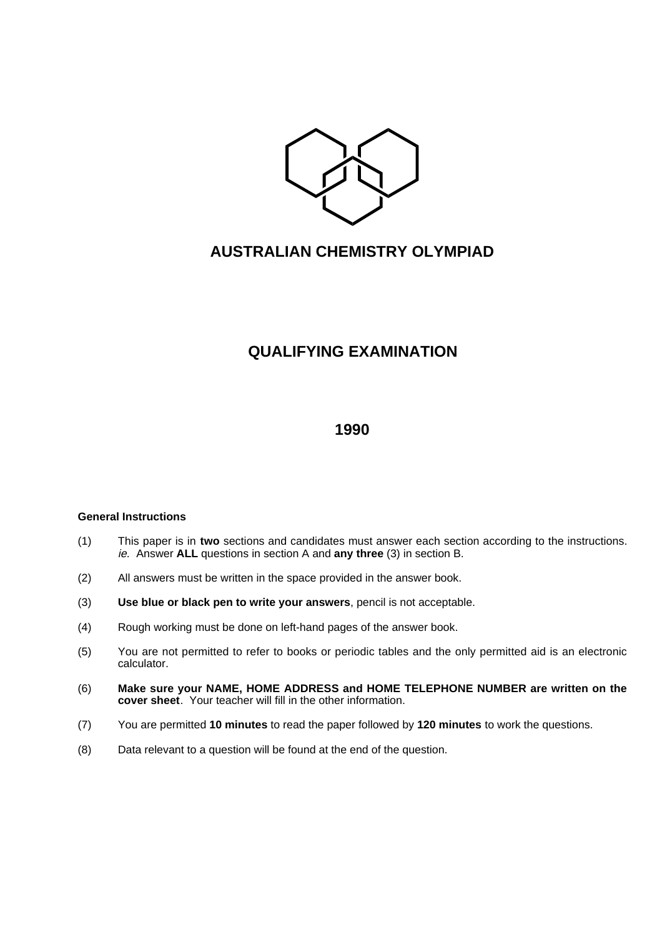

# **AUSTRALIAN CHEMISTRY OLYMPIAD**

## **QUALIFYING EXAMINATION**

## **1990**

## **General Instructions**

- (1) This paper is in **two** sections and candidates must answer each section according to the instructions. ie. Answer **ALL** questions in section A and **any three** (3) in section B.
- (2) All answers must be written in the space provided in the answer book.
- (3) **Use blue or black pen to write your answers**, pencil is not acceptable.
- (4) Rough working must be done on left-hand pages of the answer book.
- (5) You are not permitted to refer to books or periodic tables and the only permitted aid is an electronic calculator.
- (6) **Make sure your NAME, HOME ADDRESS and HOME TELEPHONE NUMBER are written on the cover sheet**. Your teacher will fill in the other information.
- (7) You are permitted **10 minutes** to read the paper followed by **120 minutes** to work the questions.
- (8) Data relevant to a question will be found at the end of the question.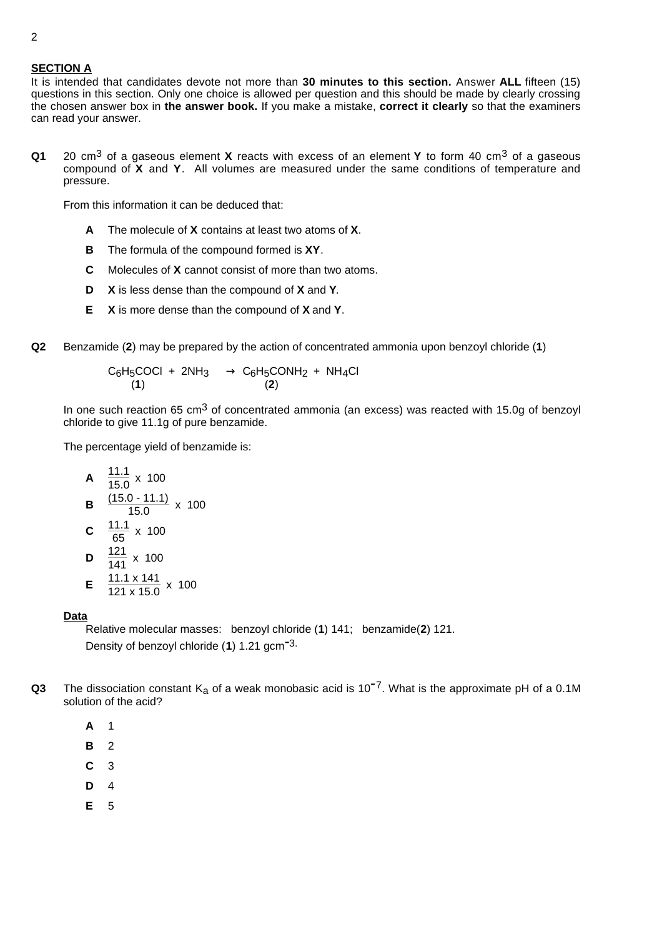## **SECTION A**

It is intended that candidates devote not more than **30 minutes to this section.** Answer **ALL** fifteen (15) questions in this section. Only one choice is allowed per question and this should be made by clearly crossing the chosen answer box in **the answer book.** If you make a mistake, **correct it clearly** so that the examiners can read your answer.

**Q1** 20 cm3 of a gaseous element **X** reacts with excess of an element **Y** to form 40 cm3 of a gaseous compound of **X** and **Y**. All volumes are measured under the same conditions of temperature and pressure.

From this information it can be deduced that:

- **A** The molecule of **X** contains at least two atoms of **X**.
- **B** The formula of the compound formed is **XY**.
- **C** Molecules of **X** cannot consist of more than two atoms.
- **D X** is less dense than the compound of **X** and **Y**.
- **E X** is more dense than the compound of **X** and **Y**.
- **Q2** Benzamide (**2**) may be prepared by the action of concentrated ammonia upon benzoyl chloride (**1**)

$$
\begin{array}{ccc} C_6H_5COCl & + & 2NH_3 & \longrightarrow & C_6H_5CONH_2 & + & NH_4Cl \\ & & (1) & & (2) & \end{array}
$$

In one such reaction 65  $cm<sup>3</sup>$  of concentrated ammonia (an excess) was reacted with 15.0g of benzoyl chloride to give 11.1g of pure benzamide.

The percentage yield of benzamide is:

**A** 
$$
\frac{11.1}{15.0} \times 100
$$
  
\n**B**  $\frac{(15.0 - 11.1)}{15.0} \times 100$   
\n**C**  $\frac{11.1}{65} \times 100$   
\n**D**  $\frac{121}{141} \times 100$   
\n**E**  $\frac{11.1 \times 141}{121 \times 15.0} \times 100$ 

## **Data**

Relative molecular masses: benzoyl chloride (**1**) 141; benzamide(**2**) 121. Density of benzoyl chloride (**<sup>1</sup>**) 1.21 gcm-3.

- **Q3** The dissociation constant  $K_a$  of a weak monobasic acid is 10<sup>-7</sup>. What is the approximate pH of a 0.1M solution of the acid?
	- **A** 1
	- **B** 2
	- **C** 3
	- **D** 4
	- **E** 5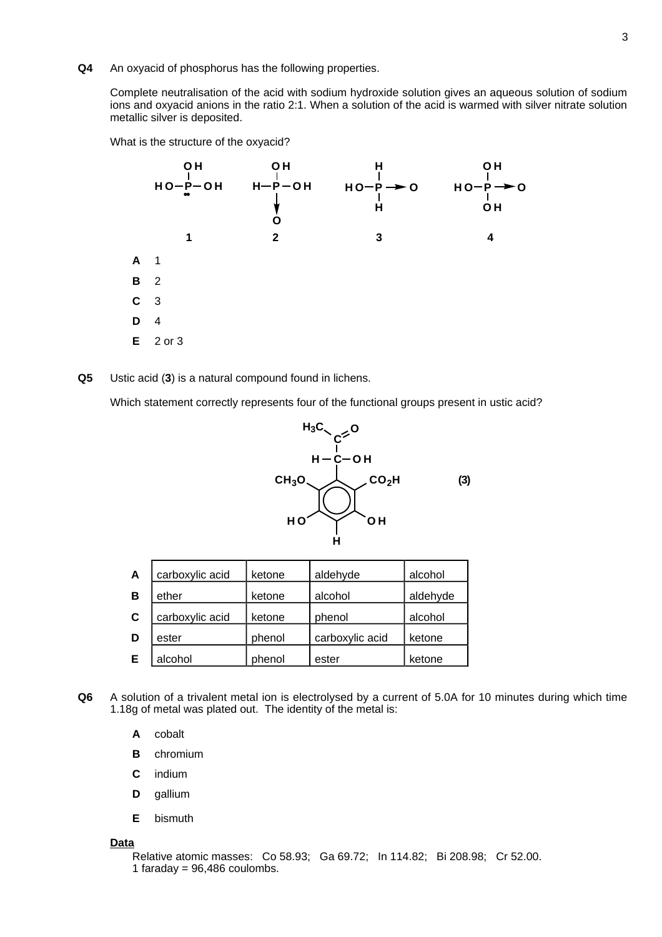**Q4** An oxyacid of phosphorus has the following properties.

Complete neutralisation of the acid with sodium hydroxide solution gives an aqueous solution of sodium ions and oxyacid anions in the ratio 2:1. When a solution of the acid is warmed with silver nitrate solution metallic silver is deposited.

What is the structure of the oxyacid?



**Q5** Ustic acid (**3**) is a natural compound found in lichens.

Which statement correctly represents four of the functional groups present in ustic acid?



| $\mathbf{A}$ | carboxylic acid | ketone | aldehyde        | alcohol  |
|--------------|-----------------|--------|-----------------|----------|
| B            | ether           | ketone | alcohol         | aldehyde |
| $\mathbf C$  | carboxylic acid | ketone | phenol          | alcohol  |
| D            | ester           | phenol | carboxylic acid | ketone   |
| Е            | alcohol         | phenol | ester           | ketone   |

- **Q6** A solution of a trivalent metal ion is electrolysed by a current of 5.0A for 10 minutes during which time 1.18g of metal was plated out. The identity of the metal is:
	- **A** cobalt
	- **B** chromium
	- **C** indium
	- **D** gallium
	- **E** bismuth

#### **Data**

Relative atomic masses: Co 58.93; Ga 69.72; In 114.82; Bi 208.98; Cr 52.00. 1 faraday =  $96,486$  coulombs.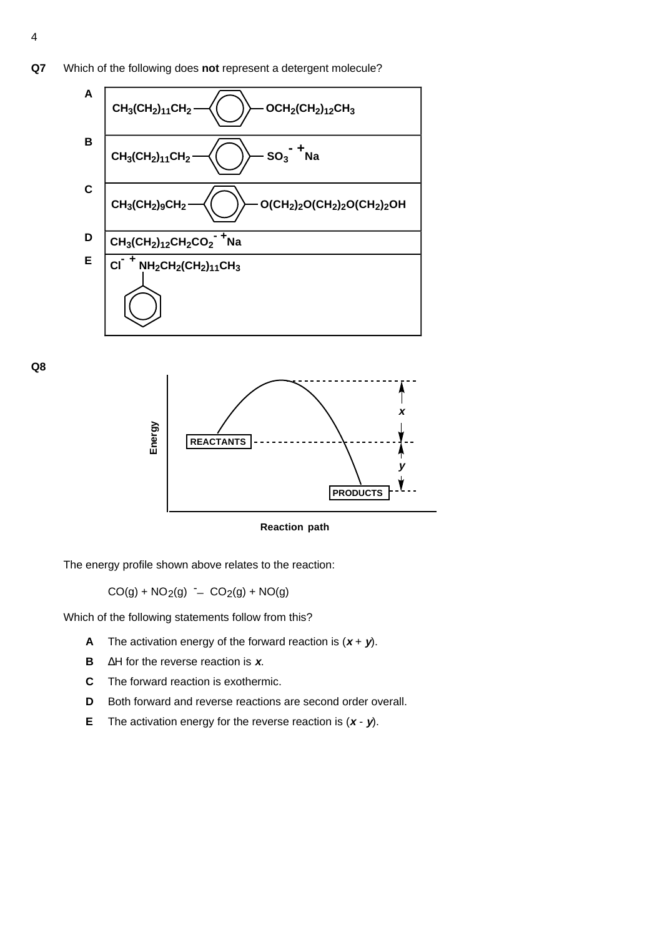

**Q8**



**Reaction path**

The energy profile shown above relates to the reaction:

 $CO(g) + NO<sub>2</sub>(g) - CO<sub>2</sub>(g) + NO(g)$ 

Which of the following statements follow from this?

- **A** The activation energy of the forward reaction is  $(x + y)$ .
- **B** ∆H for the reverse reaction is **x**.
- **C** The forward reaction is exothermic.
- **D** Both forward and reverse reactions are second order overall.
- **E** The activation energy for the reverse reaction is (**x y**).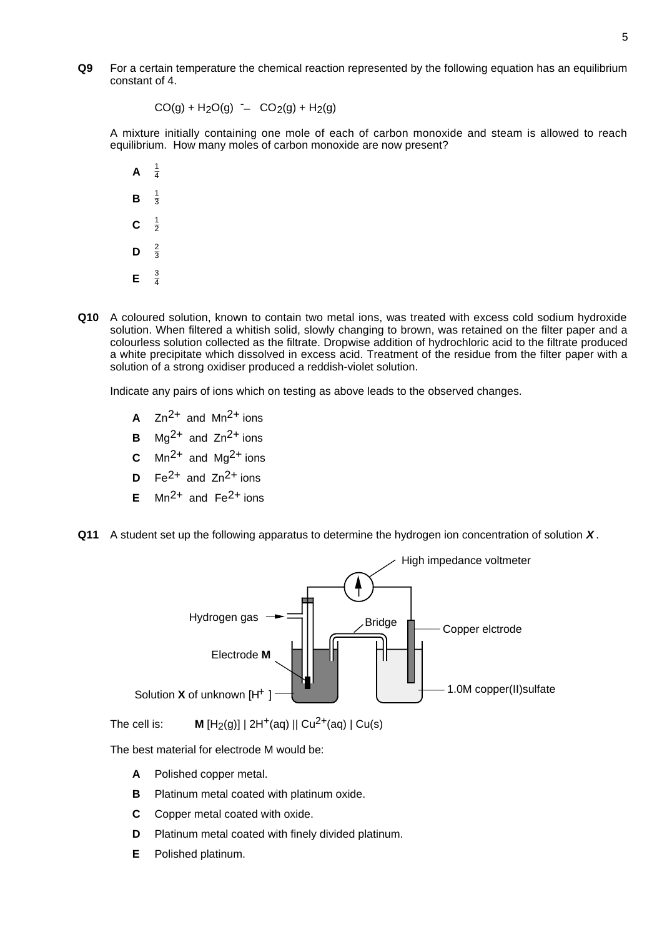**Q9** For a certain temperature the chemical reaction represented by the following equation has an equilibrium constant of 4.

 $CO(g) + H_2O(g)$  -  $CO_2(g) + H_2(g)$ 

A mixture initially containing one mole of each of carbon monoxide and steam is allowed to reach equilibrium. How many moles of carbon monoxide are now present?

- **A**  $\frac{1}{4}$ **B** <sup>1</sup>  $\frac{1}{3}$  $\mathbf{C}$  $\frac{1}{2}$ **D**  $\frac{2}{3}$ **E**  $\frac{3}{4}$
- **Q10** A coloured solution, known to contain two metal ions, was treated with excess cold sodium hydroxide solution. When filtered a whitish solid, slowly changing to brown, was retained on the filter paper and a colourless solution collected as the filtrate. Dropwise addition of hydrochloric acid to the filtrate produced a white precipitate which dissolved in excess acid. Treatment of the residue from the filter paper with a solution of a strong oxidiser produced a reddish-violet solution.

Indicate any pairs of ions which on testing as above leads to the observed changes.

- **A**  $Zn^{2+}$  and  $Mn^{2+}$  ions
- **B**  $Mg^{2+}$  and  $Zn^{2+}$  ions
- **C**  $\text{Mn}^2$ <sup>+</sup> and  $\text{Mq}^2$ <sup>+</sup> ions
- **D**  $Fe^{2+}$  and  $Zn^{2+}$  ions
- **E** Mn<sup>2+</sup> and Fe<sup>2+</sup> ions
- **Q11** A student set up the following apparatus to determine the hydrogen ion concentration of solution **X** .



The cell is: **M**  $[H_2(q)] | 2H^+(aq) || Cu^{2+}(aq) | Cu(s)$ 

The best material for electrode M would be:

- **A** Polished copper metal.
- **B** Platinum metal coated with platinum oxide.
- **C** Copper metal coated with oxide.
- **D** Platinum metal coated with finely divided platinum.
- **E** Polished platinum.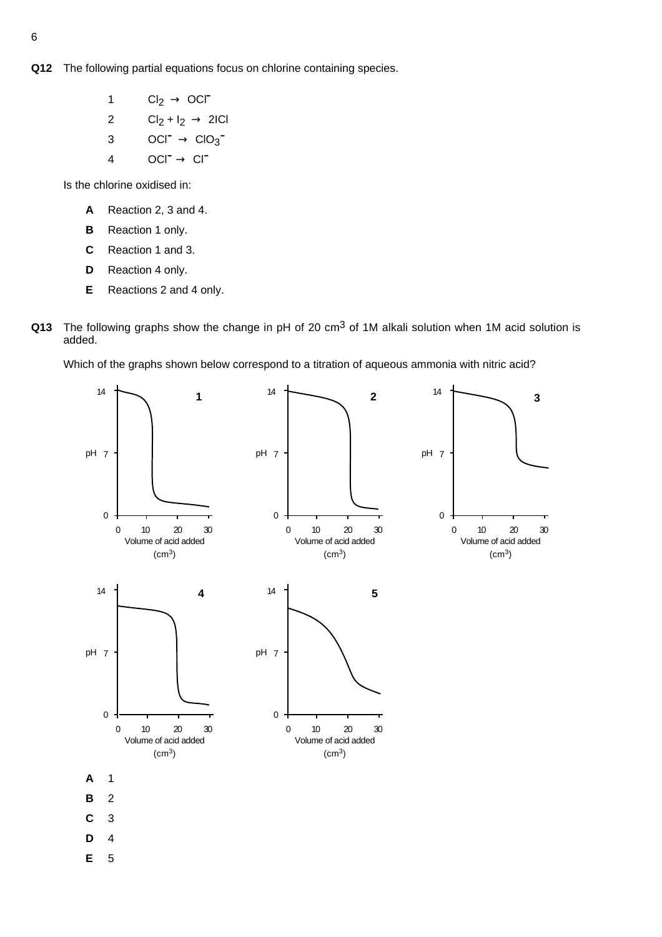- **Q12** The following partial equations focus on chlorine containing species.
	- 1  $Cl_2 \rightarrow OCl^-$ 2  $Cl_2 + I_2 \rightarrow 2ICl$
	- 3  $OCI^{-} \rightarrow ClO_{3}^{-}$
	- 4  $OCI^{\bullet} \rightarrow Cl^{\bullet}$

Is the chlorine oxidised in:

- **A** Reaction 2, 3 and 4.
- **B** Reaction 1 only.
- **C** Reaction 1 and 3.
- **D** Reaction 4 only.
- **E** Reactions 2 and 4 only.
- **Q13** The following graphs show the change in pH of 20 cm<sup>3</sup> of 1M alkali solution when 1M acid solution is added.

Which of the graphs shown below correspond to a titration of aqueous ammonia with nitric acid?

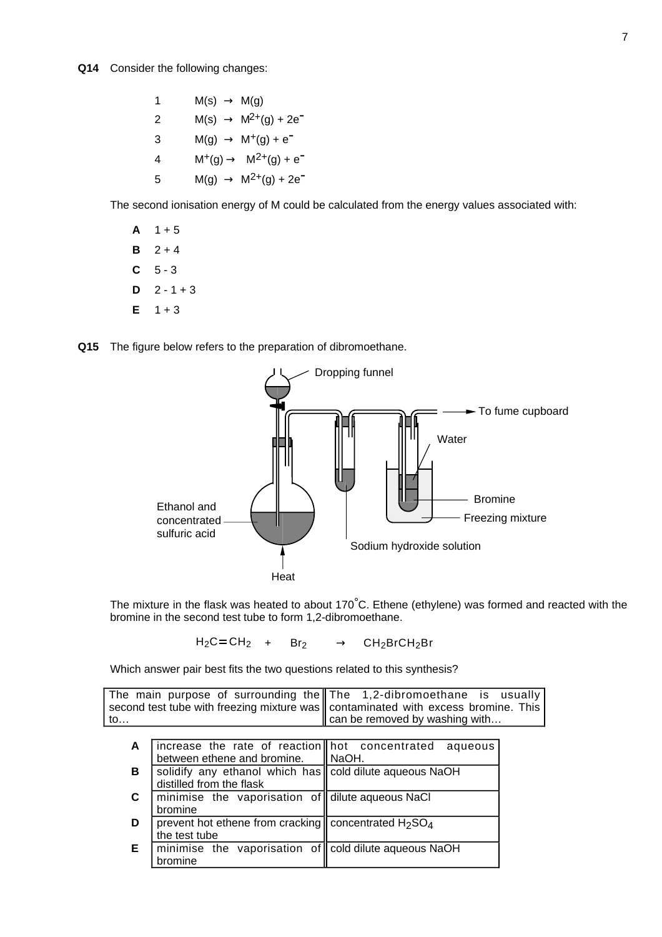| 1 | $M(s) \rightarrow M(g)$                  |
|---|------------------------------------------|
| 2 | $M(s) \rightarrow M^{2+}(g) + 2e^{-}$    |
| 3 | $M(g) \rightarrow M^{+}(g) + e^{-}$      |
| 4 | $M^{+}(g) \rightarrow M^{2+}(g) + e^{-}$ |
| 5 | $M(g) \rightarrow M^{2+}(g) + 2e^{-}$    |

The second ionisation energy of M could be calculated from the energy values associated with:

- $A$  1 + 5
- **B**  $2 + 4$
- **C** 5 3
- $D = 2 1 + 3$
- $E = 1 + 3$
- **Q15** The figure below refers to the preparation of dibromoethane.



The mixture in the flask was heated to about  $170^{\circ}$ C. Ethene (ethylene) was formed and reacted with the bromine in the second test tube to form 1,2-dibromoethane.

 $H_2C = CH_2$  + Br<sub>2</sub>  $\longrightarrow$  CH<sub>2</sub>BrCH<sub>2</sub>Br

Which answer pair best fits the two questions related to this synthesis?

|     | The main purpose of surrounding the $\mathbf{T}$ The 1,2-dibromoethane is usually |
|-----|-----------------------------------------------------------------------------------|
|     | second test tube with freezing mixture was contaminated with excess bromine. This |
| to… | $\parallel$ can be removed by washing with                                        |

| A  |                                                         | increase the rate of reaction   hot concentrated aqueous |  |
|----|---------------------------------------------------------|----------------------------------------------------------|--|
|    | between ethene and bromine.                             | NaOH.                                                    |  |
| в  | solidify any ethanol which has cold dilute aqueous NaOH |                                                          |  |
|    | distilled from the flask                                |                                                          |  |
| C  | minimise the vaporisation of dilute aqueous NaCl        |                                                          |  |
|    | bromine                                                 |                                                          |  |
| D  | prevent hot ethene from cracking concentrated $H_2SO_4$ |                                                          |  |
|    | the test tube                                           |                                                          |  |
| E. | minimise the vaporisation of cold dilute aqueous NaOH   |                                                          |  |
|    | hromine                                                 |                                                          |  |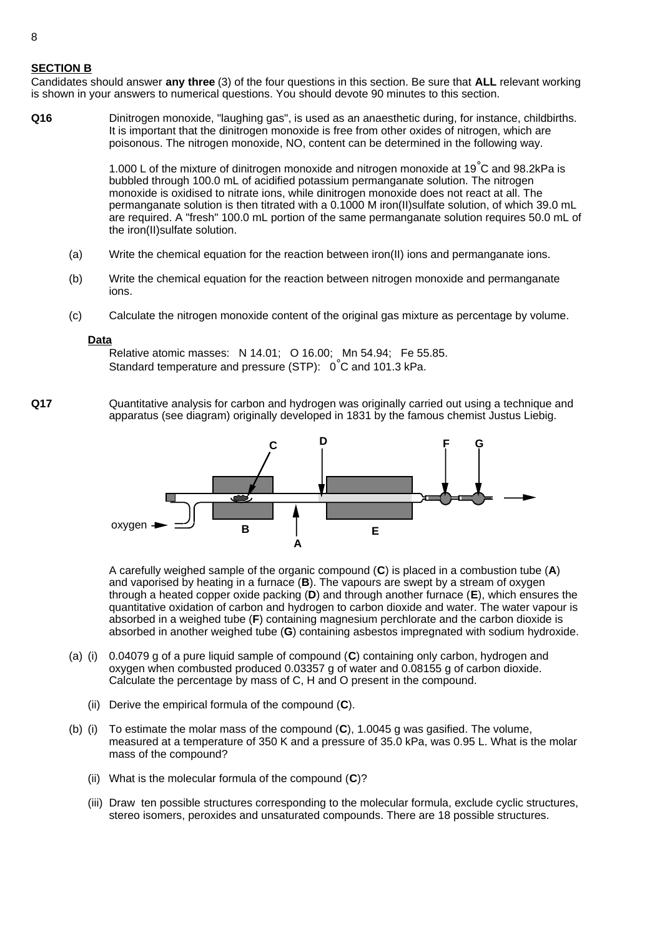## **SECTION B**

Candidates should answer **any three** (3) of the four questions in this section. Be sure that **ALL** relevant working is shown in your answers to numerical questions. You should devote 90 minutes to this section.

**Q16** Dinitrogen monoxide, "laughing gas", is used as an anaesthetic during, for instance, childbirths. It is important that the dinitrogen monoxide is free from other oxides of nitrogen, which are poisonous. The nitrogen monoxide, NO, content can be determined in the following way.

> 1.000 L of the mixture of dinitrogen monoxide and nitrogen monoxide at 19°C and 98.2kPa is bubbled through 100.0 mL of acidified potassium permanganate solution. The nitrogen monoxide is oxidised to nitrate ions, while dinitrogen monoxide does not react at all. The permanganate solution is then titrated with a 0.1000 M iron(II)sulfate solution, of which 39.0 mL are required. A "fresh" 100.0 mL portion of the same permanganate solution requires 50.0 mL of the iron(II)sulfate solution.

- (a) Write the chemical equation for the reaction between iron(II) ions and permanganate ions.
- (b) Write the chemical equation for the reaction between nitrogen monoxide and permanganate ions.
- (c) Calculate the nitrogen monoxide content of the original gas mixture as percentage by volume.

### **Data**

Relative atomic masses: N 14.01; O 16.00; Mn 54.94; Fe 55.85. Standard temperature and pressure (STP): 0°C and 101.3 kPa.

**Q17** Quantitative analysis for carbon and hydrogen was originally carried out using a technique and apparatus (see diagram) originally developed in 1831 by the famous chemist Justus Liebig.



A carefully weighed sample of the organic compound (**C**) is placed in a combustion tube (**A**) and vaporised by heating in a furnace (B). The vapours are swept by a stream of oxygen through a heated copper oxide packing (**D**) and through another furnace (**E**), which ensures the quantitative oxidation of carbon and hydrogen to carbon dioxide and water. The water vapour is absorbed in a weighed tube (**F**) containing magnesium perchlorate and the carbon dioxide is absorbed in another weighed tube (**G**) containing asbestos impregnated with sodium hydroxide.

- (a) (i) 0.04079 g of a pure liquid sample of compound (**C**) containing only carbon, hydrogen and oxygen when combusted produced 0.03357 g of water and 0.08155 g of carbon dioxide. Calculate the percentage by mass of C, H and O present in the compound.
	- (ii) Derive the empirical formula of the compound (**C**).
- (b) (i) To estimate the molar mass of the compound (**C**), 1.0045 g was gasified. The volume, measured at a temperature of 350 K and a pressure of 35.0 kPa, was 0.95 L. What is the molar mass of the compound?
	- (ii) What is the molecular formula of the compound (**C**)?
	- (iii) Draw ten possible structures corresponding to the molecular formula, exclude cyclic structures, stereo isomers, peroxides and unsaturated compounds. There are 18 possible structures.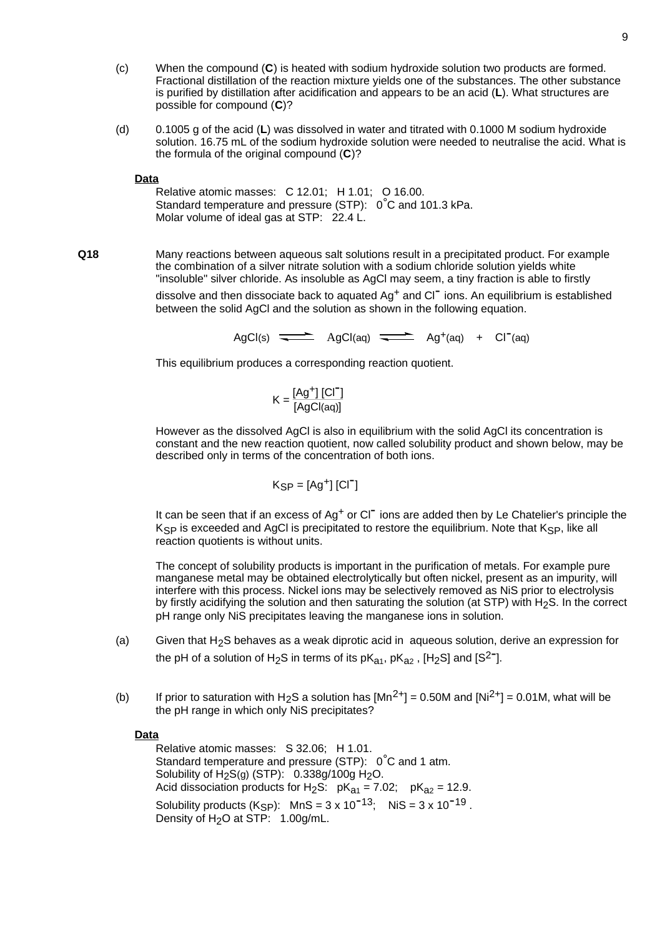- (c) When the compound (**C**) is heated with sodium hydroxide solution two products are formed. Fractional distillation of the reaction mixture yields one of the substances. The other substance is purified by distillation after acidification and appears to be an acid (**L**). What structures are possible for compound (**C**)?
- (d) 0.1005 g of the acid (**L**) was dissolved in water and titrated with 0.1000 M sodium hydroxide solution. 16.75 mL of the sodium hydroxide solution were needed to neutralise the acid. What is the formula of the original compound (**C**)?

### **Data**

Relative atomic masses: C 12.01; H 1.01; O 16.00. Standard temperature and pressure (STP): 0°C and 101.3 kPa. Molar volume of ideal gas at STP: 22.4 L.

**Q18** Many reactions between aqueous salt solutions result in a precipitated product. For example the combination of a silver nitrate solution with a sodium chloride solution yields white "insoluble" silver chloride. As insoluble as AgCl may seem, a tiny fraction is able to firstly dissolve and then dissociate back to aquated  $Ag<sup>+</sup>$  and  $Cl<sup>-</sup>$  ions. An equilibrium is established between the solid AgCl and the solution as shown in the following equation.

 $AaCl(s)$   $\overline{\phantom{nnn}}$   $AaCl(aa)$   $\overline{\phantom{n}}$   $Aa^{+}(aa)$  +  $Cl^{-}(aa)$ 

This equilibrium produces a corresponding reaction quotient.

$$
K = \frac{[Ag^+][Cl^-]}{[AgCl(aq)]}
$$

However as the dissolved AgCl is also in equilibrium with the solid AgCl its concentration is constant and the new reaction quotient, now called solubility product and shown below, may be described only in terms of the concentration of both ions.

$$
K_{SP} = [Ag^+] [CI^-]
$$

It can be seen that if an excess of  $Ag<sup>+</sup>$  or Cl<sup>-</sup> ions are added then by Le Chatelier's principle the K<sub>SP</sub> is exceeded and AgCl is precipitated to restore the equilibrium. Note that K<sub>SP</sub>, like all reaction quotients is without units.

The concept of solubility products is important in the purification of metals. For example pure manganese metal may be obtained electrolytically but often nickel, present as an impurity, will interfere with this process. Nickel ions may be selectively removed as NiS prior to electrolysis by firstly acidifying the solution and then saturating the solution (at STP) with H<sub>2</sub>S. In the correct pH range only NiS precipitates leaving the manganese ions in solution.

- (a) Given that H<sub>2</sub>S behaves as a weak diprotic acid in aqueous solution, derive an expression for the pH of a solution of H<sub>2</sub>S in terms of its  $pK_{a1}$ ,  $pK_{a2}$ , [H<sub>2</sub>S] and [S<sup>2-</sup>].
- (b) If prior to saturation with H<sub>2</sub>S a solution has  $[Mn^{2+}] = 0.50M$  and  $[Ni^{2+}] = 0.01M$ , what will be the pH range in which only NiS precipitates?

## **Data**

Relative atomic masses: S 32.06; H 1.01. Standard temperature and pressure (STP): 0°C and 1 atm. Solubility of  $H_2S(g)$  (STP):  $0.338g/100g$   $H_2O$ . Acid dissociation products for H<sub>2</sub>S:  $pK_{a1} = 7.02$ ;  $pK_{a2} = 12.9$ . Solubility products  $(K_{\text{SP}})$ :  $MnS = 3 \times 10^{-13}$ ;  $NiS = 3 \times 10^{-19}$ . Density of H<sub>2</sub>O at STP: 1.00g/mL.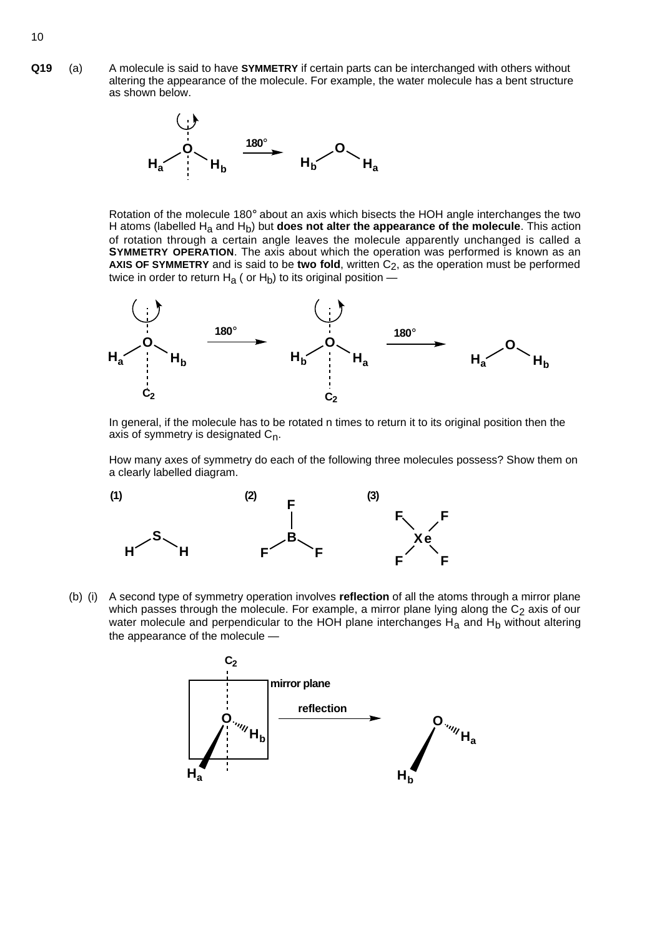**Q19** (a) A molecule is said to have **SYMMETRY** if certain parts can be interchanged with others without altering the appearance of the molecule. For example, the water molecule has a bent structure as shown below.



Rotation of the molecule 180° about an axis which bisects the HOH angle interchanges the two H atoms (labelled H<sub>a</sub> and H<sub>b</sub>) but **does not alter the appearance of the molecule**. This action of rotation through a certain angle leaves the molecule apparently unchanged is called a **SYMMETRY OPERATION**. The axis about which the operation was performed is known as an AXIS OF SYMMETRY and is said to be two fold, written C<sub>2</sub>, as the operation must be performed twice in order to return  $H_a$  ( or  $H_b$ ) to its original position —



In general, if the molecule has to be rotated n times to return it to its original position then the axis of symmetry is designated  $C_n$ .

How many axes of symmetry do each of the following three molecules possess? Show them on a clearly labelled diagram.



(b) (i) A second type of symmetry operation involves **reflection** of all the atoms through a mirror plane which passes through the molecule. For example, a mirror plane lying along the  $C_2$  axis of our water molecule and perpendicular to the HOH plane interchanges  $H_a$  and  $H_b$  without altering the appearance of the molecule —